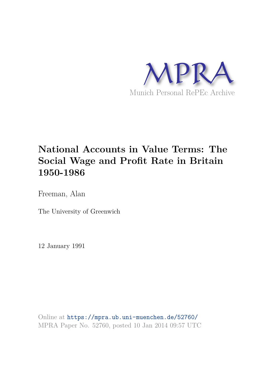

# **National Accounts in Value Terms: The Social Wage and Profit Rate in Britain 1950-1986**

Freeman, Alan

The University of Greenwich

12 January 1991

Online at https://mpra.ub.uni-muenchen.de/52760/ MPRA Paper No. 52760, posted 10 Jan 2014 09:57 UTC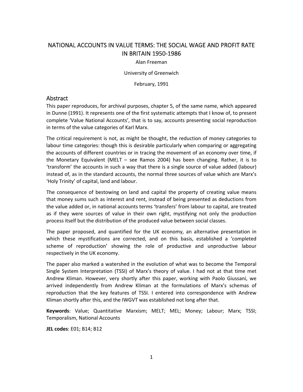## NATIONAL ACCOUNTS IN VALUE TERMS: THE SOCIAL WAGE AND PROFIT RATE IN BRITAIN 1950‐1986

Alan Freeman

University of Greenwich

February, 1991

### Abstract

This paper reproduces, for archival purposes, chapter 5, of the same name, which appeared in Dunne (1991). It represents one of the first systematic attempts that I know of, to present complete 'Value National Accounts', that is to say, accounts presenting social reproduction in terms of the value categories of Karl Marx.

The critical requirement is not, as might be thought, the reduction of money categories to labour time categories: though this is desirable particularly when comparing or aggregating the accounts of different countries or in tracing the movement of an economy over time, if the Monetary Equivalent (MELT – see Ramos 2004) has been changing. Rather, it is to 'transform' the accounts in such a way that there is a single source of value added (labour) instead of, as in the standard accounts, the normal three sources of value which are Marx's 'Holy Trinity' of capital, land and labour.

The consequence of bestowing on land and capital the property of creating value means that money sums such as interest and rent, instead of being presented as deductions from the value added or, in national accounts terms 'transfers' from labour to capital, are treated as if they were sources of value in their own right, mystifying not only the production process itself but the distribution of the produced value between social classes.

The paper proposed, and quantified for the UK economy, an alternative presentation in which these mystifications are corrected, and on this basis, established a 'completed scheme of reproduction' showing the role of productive and unproductive labour respectively in the UK economy.

The paper also marked a watershed in the evolution of what was to become the Temporal Single System Interpretation (TSSI) of Marx's theory of value. I had not at that time met Andrew Kliman. However, very shortly after this paper, working with Paolo Giussani, we arrived independently from Andrew Kliman at the formulations of Marx's schemas of reproduction that the key features of TSSI. I entered into correspondence with Andrew Kliman shortly after this, and the IWGVT was established not long after that.

**Keywords**: Value; Quantitative Marxism; MELT; MEL; Money; Labour; Marx; TSSI; Temporalism, National Accounts

**JEL codes**: E01; B14; B12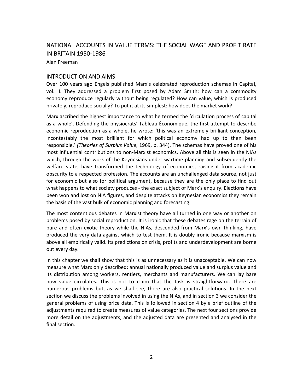## NATIONAL ACCOUNTS IN VALUE TERMS: THE SOCIAL WAGE AND PROFIT RATE IN BRITAIN 1950‐1986

Alan Freeman

### INTRODUCTION AND AIMS

Over 100 years ago Engels published Marx's celebrated reproduction schemas in Capital, vol. II. They addressed a problem first posed by Adam Smith: how can a commodity economy reproduce regularly without being regulated? How can value, which is produced privately, reproduce socially? To put it at its simplest: how does the market work?

Marx ascribed the highest importance to what he termed the 'circulation process of capital as a whole'. Defending the physiocrats' Tableau Économique, the first attempt to describe economic reproduction as a whole, he wrote: 'this was an extremely brilliant conception, incontestably the most brilliant for which political economy had up to then been responsible.' *(Theories of Surplus Value,* 1969, p. 344). The schemas have proved one of his most influential contributions to non‐Marxist economics. Above all this is seen in the NIAs which, through the work of the Keynesians under wartime planning and subsequently the welfare state, have transformed the technology of economics, raising it from academic obscurity to a respected profession. The accounts are an unchallenged data source, not just for economic but also for political argument, because they are the only place to find out what happens to what society produces - the exact subject of Marx's enquiry. Elections have been won and lost on NIA figures, and despite attacks on Keynesian economics they remain the basis of the vast bulk of economic planning and forecasting.

The most contentious debates in Marxist theory have all turned in one way or another on problems posed by social reproduction. It is ironic that these debates rage on the terrain of pure and often exotic theory while the NIAs, descended from Marx's own thinking, have produced the very data against which to test them. It is doubly ironic because marxism is above all empirically valid. Its predictions on crisis, profits and underdevelopment are borne out every day.

In this chapter we shall show that this is as unnecessary as it is unacceptable. We can now measure what Marx only described: annual nationally produced value and surplus value and its distribution among workers, rentiers, merchants and manufacturers. We can lay bare how value circulates. This is not to claim that the task is straightforward. There are numerous problems but, as we shall see, there are also practical solutions. In the next section we discuss the problems involved in using the NIAs, and in section 3 we consider the general problems of using price data. This is followed in section 4 by a brief outline of the adjustments required to create measures of value categories. The next four sections provide more detail on the adjustments, and the adjusted data are presented and analysed in the final section.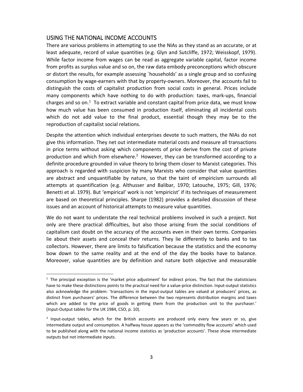#### USING THE NATIONAL INCOME ACCOUNTS

There are various problems in attempting to use the NIAs as they stand as an accurate, or at least adequate, record of value quantities (e.g. Glyn and Sutcliffe, 1972; Weisskopf, 1979). While factor income from wages can be read as aggregate variable capital, factor income from profits as surplus value and so on, the raw data embody preconceptions which obscure or distort the results, for example assessing `households' as a single group and so confusing consumption by wage-earners with that by property-owners. Moreover, the accounts fail to distinguish the costs of capitalist production from social costs in general. Prices include many components which have nothing to do with production: taxes, mark‐ups, financial charges and so on.<sup>1</sup> To extract variable and constant capital from price data, we must know how much value has been consumed in production itself, eliminating all incidental costs which do not add value to the final product, essential though they may be to the reproduction of capitalist social relations.

Despite the attention which individual enterprises devote to such matters, the NIAs do not give this information. They net out intermediate material costs and measure all transactions in price terms without asking which components of price derive from the cost of private production and which from elsewhere.<sup>2</sup> However, they can be transformed according to a definite procedure grounded in value theory to bring them closer to Marxist categories. This approach is regarded with suspicion by many Marxists who consider that value quantities are abstract and unquantifiable by nature, so that the taint of empiricism surrounds all attempts at quantification (e.g. Althusser and Balibar, 1970; Latouche, 1975; Gill, 1976; Benetti et al. 1979). But 'empirical' work is not 'empiricist' if its techniques of measurement are based on theoretical principles. Sharpe (1982) provides a detailed discussion of these issues and an account of historical attempts to measure value quantities.

We do not want to understate the real technical problems involved in such a project. Not only are there practical difficulties, but also those arising from the social conditions of capitalism cast doubt on the accuracy of the accounts even in their own terms. Companies lie about their assets and conceal their returns. They lie differently to banks and to tax collectors. However, there are limits to falsification because the statistics and the economy bow down to the same reality and at the end of the day the books have to balance. Moreover, value quantities are by definition and nature both objective and measurable

 $1$  The principal exception is the 'market price adjustment' for indirect prices. The fact that the statisticians have to make these distinctions points to the practical need for a value-price distinction. Input-output statistics also acknowledge the problem: 'transactions in the input-output tables are valued at producers' prices, as distinct from purchasers' prices. The difference between the two represents distribution margins and taxes which are added to the price of goods in getting them from the production unit to the purchaser.' (Input‐Output tables for the UK 1984, CSO, p. 10).

<sup>&</sup>lt;sup>2</sup> Input-output tables, which for the British accounts are produced only every few years or so, give intermediate output and consumption. A halfway house appears as the 'commodity flow accounts' which used to be published along with the national income statistics as 'production accounts'. These show intermediate outputs but not intermediate inputs.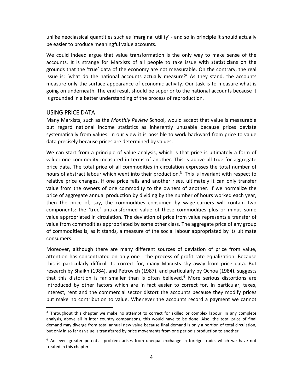unlike neoclassical quantities such as 'marginal utility' ‐ and so in principle it should actually be easier to produce meaningful value accounts.

We could indeed argue that value transformation is the only way to make sense of the accounts. It is strange for Marxists of all people to take issue with statisticians on the grounds that the 'true' data of the economy are not measurable. On the contrary, the real issue is: 'what do the national accounts actually measure?' As they stand, the accounts measure only the surface appearance of economic activity. Our task is to measure what is going on underneath. The end result should be superior to the national accounts because it is grounded in a better understanding of the process of reproduction.

### USING PRICE DATA

Many Marxists, such as the *Monthly Review* School, would accept that value is measurable but regard national income statistics as inherently unusable because prices deviate systematically from values. In our view it is possible to work backward from price to value data precisely because prices are determined by values.

We can start from a principle of value analysis, which is that price is ultimately a form of value: one commodity measured in terms of another. This is above all true for aggregate price data. The total price of all commodities in circulation expresses the total number of hours of abstract labour which went into their production.<sup>3</sup> This is invariant with respect to relative price changes. If one price falls and another rises, ultimately it can only transfer value from the owners of one commodity to the owners of another. If we normalize the price of aggregate annual production by dividing by the number of hours worked each year, then the price of, say, the commodities consumed by wage‐earners will contain two components: the 'true' untransformed value of these commodities plus or minus some value appropriated in circulation. The deviation of price from value represents a transfer of value from commodities appropriated by some other class. The aggregate price of any group of commodities is, as it stands, a measure of the social labour appropriated by its ultimate consumers.

Moreover, although there are many different sources of deviation of price from value, attention has concentrated on only one ‐ the process of profit rate equalization. Because this is particularly difficult to correct for, many Marxists shy away from price data. But research by Shaikh (1984), and Petrovich (1987), and particularly by Ochoa (1984), suggests that this distortion is far smaller than is often believed.<sup>4</sup> More serious distortions are introduced by other factors which are in fact easier to correct for. In particular, taxes, interest, rent and the commercial sector distort the accounts because they modify prices but make no contribution to value. Whenever the accounts record a payment we cannot

<sup>&</sup>lt;sup>3</sup> Throughout this chapter we make no attempt to correct for skilled or complex labour. In any complete analysis, above all in inter country comparisons, this would have to be done. Also, the total price of final demand may diverge from total annual new value because final demand is only a portion of total circulation, but only in so far as value is transferred by price movements from one period's production to another

<sup>&</sup>lt;sup>4</sup> An even greater potential problem arises from unequal exchange in foreign trade, which we have not treated in this chapter.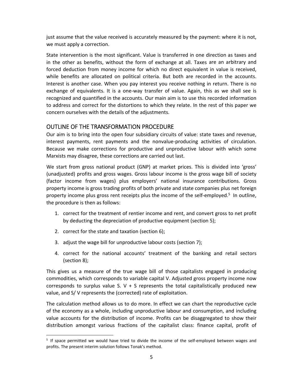just assume that the value received is accurately measured by the payment: where it is not, we must apply a correction.

State intervention is the most significant. Value is transferred in one direction as taxes and in the other as benefits, without the form of exchange at all. Taxes are an arbitrary and forced deduction from money income for which no direct equivalent in value is received, while benefits are allocated on political criteria. But both are recorded in the accounts. Interest is another case. When you pay interest you receive nothing in return. There is no exchange of equivalents. It is a one‐way transfer of value. Again, this as we shall see is recognized and quantified in the accounts. Our main aim is to use this recorded information to address and correct for the distortions to which they relate. In the rest of this paper we concern ourselves with the details of the adjustments.

#### OUTLINE OF THE TRANSFORMATION PROCEDURE

Our aim is to bring into the open four subsidiary circuits of value: state taxes and revenue, interest payments, rent payments and the nonvalue‐producing activities of circulation. Because we make corrections for productive and unproductive labour with which some Marxists may disagree, these corrections are carried out last.

We start from gross national product (GNP) at market prices. This is divided into 'gross' (unadjusted) profits and gross wages. Gross labour income is the gross wage bill of society (factor income from wages) plus employers' national insurance contributions. Gross property income is gross trading profits of both private and state companies plus net foreign property income plus gross rent receipts plus the income of the self-employed.<sup>5</sup> In outline, the procedure is then as follows:

- 1. correct for the treatment of rentier income and rent, and convert gross to net profit by deducting the depreciation of productive equipment (section 5);
- 2. correct for the state and taxation (section 6);

- 3. adjust the wage bill for unproductive labour costs (section 7);
- 4. correct for the national accounts' treatment of the banking and retail sectors (section 8);

This gives us a measure of the true wage bill of those capitalists engaged in producing commodities, which corresponds to variable capital V. Adjusted gross property income now corresponds to surplus value S.  $V + S$  represents the total capitalistically produced new value, and S/ V represents the (corrected) rate of exploitation.

The calculation method allows us to do more. In effect we can chart the reproductive cycle of the economy as a whole, including unproductive labour and consumption, and including value accounts for the distribution of income. Profits can be disaggregated to show their distribution amongst various fractions of the capitalist class: finance capital, profit of

<sup>&</sup>lt;sup>5</sup> If space permitted we would have tried to divide the income of the self-employed between wages and profits. The present interim solution follows Tonak's method.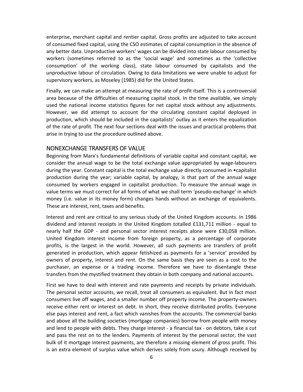enterprise, merchant capital and rentier capital. Gross profits are adjusted to take account of consumed fixed capital, using the CSO estimates of capital consumption in the absence of any better data. Unproductive workers' wages can be divided into state labour consumed by workers (sometimes referred to as the 'social wage' and sometimes as the 'collective consumption' of the working class), state labour consumed by capitalists and the unproductive labour of circulation. Owing to data limitations we were unable to adjust for supervisory workers, as Moseley (1985) did for the United States.

Finally, we can make an attempt at measuring the rate of profit itself. This is a controversial area because of the difficulties of measuring capital stock. In the time available, we simply used the national income statistics figures for net capital stock without any adjustments. However, we did attempt to account for the circulating constant capital deployed in production, which should be included in the capitalists' outlay as it enters the equalization of the rate of profit. The next four sections deal with the issues and practical problems that arise in trying to use the procedure outlined above.

### NONEXCHANGE TRANSFERS OF VALUE

Beginning from Marx's fundamental definitions of variable capital and constant capital, we consider the annual wage to be the total exchange value appropriated by wage‐labourers during the year. Constant capital is the total exchange value directly consumed in  $\bullet$ capitalist production during the year; variable capital, by analogy, is that part of the annual wage consumed by workers engaged in capitalist production. To measure the annual wage in value terms we must correct for all forms of what we shall term 'pseudo‐exchange' in which money (i.e. value in its money form) changes hands without an exchange of equivalents. These are interest, rent, taxes and benefits.

Interest and rent are critical to any serious study of the United Kingdom accounts. In 1986 dividend and interest receipts in the United Kingdom totalled £131,711 million ‐ equal to nearly half the GDP - and personal sector interest receipts alone were £30,058 million. United Kingdom interest income from foreign property, as a percentage of corporate profits, is the largest in the world. However, all such payments are transfers of profit generated in production, which appear fetishized as payments for a 'service' provided by owners of property, interest and rent. On the same basis they are seen as a cost to the purchaser, an expense or a trading income. Therefore we have to disentangle these transfers from the mystified treatment they obtain in both company and national accounts.

First we have to deal with interest and rate payments and receipts by private individuals. The personal sector accounts, we recall, treat all consumers as equivalent. But in fact most consumers live off wages, and a smaller number off property income. The property‐owners receive either rent or interest on debt. In short, they receive distributed profits. Everyone else pays interest and rent, a fact which vanishes from the accounts. The commercial banks and above all the building societies (mortgage companies) borrow from people with money and lend to people with debts. They charge interest - a financial tax - on debtors, take a cut and pass the rest on to the lenders. Payments of interest by the personal sector, the vast bulk of it mortgage interest payments, are therefore a missing element of gross profit. This is an extra element of surplus value which derives solely from usury. Although received by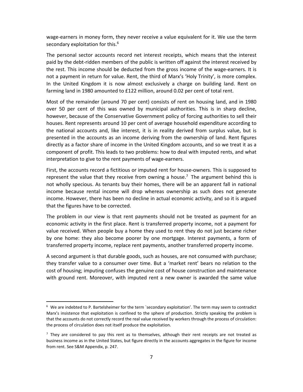wage-earners in money form, they never receive a value equivalent for it. We use the term secondary exploitation for this.<sup>6</sup>

The personal sector accounts record net interest receipts, which means that the interest paid by the debt-ridden members of the public is written off against the interest received by the rest. This income should be deducted from the gross income of the wage-earners. It is not a payment in return for value. Rent, the third of Marx's 'Holy Trinity', is more complex. In the United Kingdom it is now almost exclusively a charge on building land. Rent on farming land in 1980 amounted to £122 million, around 0.02 per cent of total rent.

Most of the remainder (around 70 per cent) consists of rent on housing land, and in 1980 over 50 per cent of this was owned by municipal authorities. This is in sharp decline, however, because of the Conservative Government policy of forcing authorities to sell their houses. Rent represents around 10 per cent of average household expenditure according to the national accounts and, like interest, it is in reality derived from surplus value, but is presented in the accounts as an income deriving from the ownership of land. Rent figures directly as a factor share of income in the United Kingdom accounts, and so we treat it as a component of profit. This leads to two problems: how to deal with imputed rents, and what interpretation to give to the rent payments of wage‐earners.

First, the accounts record a fictitious or imputed rent for house-owners. This is supposed to represent the value that they receive from owning a house.<sup>7</sup> The argument behind this is not wholly specious. As tenants buy their homes, there will be an apparent fall in national income because rental income will drop whereas ownership as such does not generate income. However, there has been no decline in actual economic activity, and so it is argued that the figures have to be corrected.

The problem in our view is that rent payments should not be treated as payment for an economic activity in the first place. Rent is transferred property income, not a payment for value received. When people buy a home they used to rent they do not just became richer by one home: they also become poorer by one mortgage. Interest payments, a form of transferred property income, replace rent payments, another transferred property income.

A second argument is that durable goods, such as houses, are not consumed with purchase; they transfer value to a consumer over time. But a 'market rent' bears no relation to the cost of housing; imputing confuses the genuine cost of house construction and maintenance with ground rent. Moreover, with imputed rent a new owner is awarded the same value

<sup>6</sup> We are indebted to P. Bartelsheimer for the term `secondary exploitation'. The term may seem to contradict Marx's insistence that exploitation is confined to the sphere of production. Strictly speaking the problem is that the accounts do not correctly record the real value received by workers through the process of circulation: the process of circulation does not itself produce the exploitation.

 $<sup>7</sup>$  They are considered to pay this rent as to themselves, although their rent receipts are not treated as</sup> business income as in the United States, but figure directly in the accounts aggregates in the figure for income from rent. See S&M Appendix, p. 247.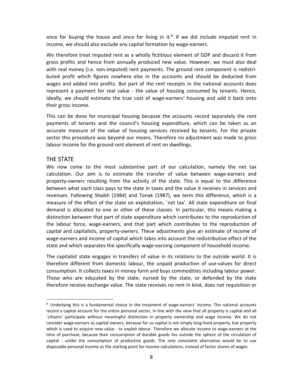once for buying the house and once for living in it. $8$  If we did include imputed rent in income, we should also exclude any capital formation by wage‐earners.

We therefore treat imputed rent as a wholly fictitious element of GDP and discard it from gross profits and hence from annually produced new value. However, we must also deal with real money (i.e. non-imputed) rent payments. The ground rent component is redistributed profit which figures nowhere else in the accounts and should be deducted from wages and added into profits. But part of the rent receipts in the national accounts does represent a payment for real value - the value of housing consumed by tenants. Hence, ideally, we should estimate the true cost of wage-earners' housing and add it back onto their gross income.

This can be done for municipal housing because the accounts record separately the rent payments of tenants and the council's housing expenditure, which can be taken as an accurate measure of the value of housing services received by tenants. For the private sector this procedure was beyond our means. Therefore no adjustment was made to gross labour income for the ground rent element of rent on dwellings.

#### THE STATE

We now come to the most substantive part of our calculation, namely the net tax calculation. Our aim is to estimate the transfer of value between wage-earners and property-owners resulting from the activity of the state. This is equal to the difference between what each class pays to the state in taxes and the value it receives in services and revenues. Following Shaikh (1984) and Tonak (1987), we term this difference, which is a measure of the effect of the state on exploitation, `net tax'. All state expenditure on final demand is allocated to one or other of these classes. In particular, this means making a distinction between that part of state expenditure which contributes to the reproduction of the labour force, wage‐earners, and that part which contributes to the reproduction of capital and capitalists, property‐owners. These adjustments give an estimate of income of wage-earners and income of capital which takes into account the redistributive effect of the state and which separates the specifically wage-earning component of household income.

The capitalist state engages in transfers of value in its relations to the outside world. It is therefore different from domestic labour, the unpaid production of use-values for direct consumption. It collects taxes in money form and buys commodities including labour power. Those who are educated by the state, nursed by the state, or defended by the state therefore receive exchange value. The state receives no rent in kind, does not requisition or

<sup>&</sup>lt;sup>8</sup> Underlying this is a fundamental choice in the treatment of wage-earners' income. The national accounts record a capital account for the entire personal sector, in line with the view that all property is capital and all `citizens' participate without meaningful distinction in property ownership and wage income. We do not consider wage‐earners as capital owners, because for us capital is not simply long‐lived property, but property which is used to acquire new value - to exploit labour. Therefore we allocate income to wage-earners at the time of purchase, because their consumption of durable goods lies outside the sphere of the circulation of capital - unlike the consumption of productive goods. The only consistent alternative would be to use disposable personal income as the starting point for income calculations, instead of factor shares of wages.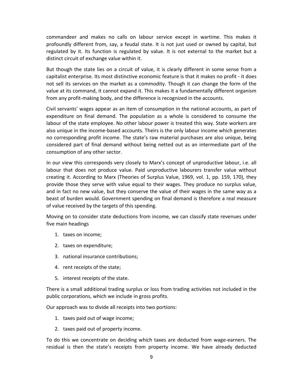commandeer and makes no calls on labour service except in wartime. This makes it profoundly different from, say, a feudal state. It is not just used or owned by capital, but regulated by it. Its function is regulated by value. It is not external to the market but a distinct circuit of exchange value within it.

But though the state lies on a circuit of value, it is clearly different in some sense from a capitalist enterprise. Its most distinctive economic feature is that it makes no profit ‐ it does not sell its services on the market as a commodity. Though it can change the form of the value at its command, it cannot expand it. This makes it a fundamentally different organism from any profit-making body, and the difference is recognized in the accounts.

Civil servants' wages appear as an item of consumption in the national accounts, as part of expenditure on final demand. The population as a whole is considered to consume the labour of the state employee. No other labour power is treated this way. State workers are also unique in the income‐based accounts. Theirs is the only labour income which generates no corresponding profit income. The state's raw material purchases are also unique, being considered part of final demand without being netted out as an intermediate part of the consumption of any other sector.

In our view this corresponds very closely to Marx's concept of unproductive labour, i.e. all labour that does not produce value. Paid unproductive labourers transfer value without creating it. According to Marx (Theories of Surplus Value, 1969, vol. 1, pp. 159, 170), they provide those they serve with value equal to their wages. They produce no surplus value, and in fact no new value, but they conserve the value of their wages in the same way as a beast of burden would. Government spending on final demand is therefore a real measure of value received by the targets of this spending.

Moving on to consider state deductions from income, we can classify state revenues under five main headings

- 1. taxes on income;
- 2. taxes on expenditure;
- 3. national insurance contributions;
- 4. rent receipts of the state;
- 5. interest receipts of the state.

There is a small additional trading surplus or loss from trading activities not included in the public corporations, which we include in gross profits.

Our approach was to divide all receipts into two portions:

- 1. taxes paid out of wage income;
- 2. taxes paid out of property income.

To do this we concentrate on deciding which taxes are deducted from wage‐earners. The residual is then the state's receipts from property income. We have already deducted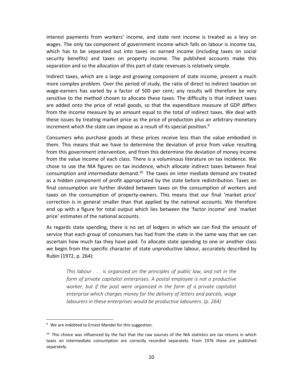interest payments from workers' income, and state rent income is treated as a levy on wages. The only tax component of government income which falls on labour is income tax, which has to be separated out into taxes on earned income (including taxes on social security benefits) and taxes on property income. The published accounts make this separation and so the allocation of this part of state revenues is relatively simple.

Indirect taxes, which are a large and growing component of state income, present a much more complex problem. Over the period of study, the ratio of direct to indirect taxation on wage-earners has varied by a factor of 500 per cent; any results will therefore be very sensitive to the method chosen to allocate these taxes. The difficulty is that indirect taxes are added onto the price of retail goods, so that the expenditure measure of GDP differs from the income measure by an amount equal to the total of indirect taxes. We deal with these issues by treating market price as the price of production plus an arbitrary monetary increment which the state can impose as a result of its special position.<sup>9</sup>

Consumers who purchase goods at these prices receive less than the value embodied in them. This means that we have to determine the deviation of price from value resulting from this government intervention, and from this determine the deviation of money income from the value income of each class. There is a voluminous literature on tax incidence. We chose to use the NIA figures on tax incidence, which allocate indirect taxes between final consumption and intermediate demand.<sup>10</sup> The taxes on inter mediate demand are treated as a hidden component of profit appropriated by the state before redistribution. Taxes on final consumption are further divided between taxes on the consumption of workers and taxes on the consumption of property-owners. This means that our final 'market price' correction is in general smaller than that applied by the national accounts. We therefore end up with a figure for total output which lies between the 'factor income' and `market price' estimates of the national accounts.

As regards state spending, there is no set of ledgers in which we can find the amount of service that each group of consumers has had from the state in the same way that we can ascertain how much tax they have paid. To allocate state spending to one or another class we begin from the specific character of state unproductive labour, accurately described by Rubin (1972, p. 264):

*This labour . . . is organized on the principles of public law, and not in the form of private capitalist enterprises. A postal employee is not a productive worker, but if the post were organized in the form of a private capitalist enterprise which charges money for the delivery of letters and parcels, wage labourers in these enterprises would be productive labourers. (p. 264)* 

 $9\,$  We are indebted to Ernest Mandel for this suggestion.

 $10$  This choice was influenced by the fact that the raw sources of the NIA statistics are tax returns in which taxes on intermediate consumption are correctly recorded separately. From 1976 these are published separately.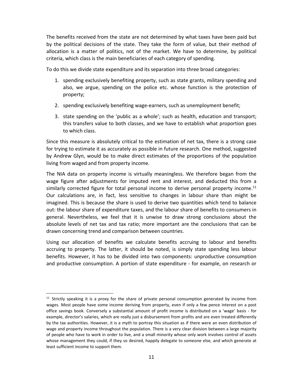The benefits received from the state are not determined by what taxes have been paid but by the political decisions of the state. They take the form of value, but their method of allocation is a matter of politics, not of the market. We have to determine, by political criteria, which class is the main beneficiaries of each category of spending.

To do this we divide state expenditure and its separation into three broad categories:

- 1. spending exclusively benefiting property, such as state grants, military spending and also, we argue, spending on the police etc. whose function is the protection of property;
- 2. spending exclusively benefiting wage-earners, such as unemployment benefit;
- 3. state spending on the 'public as a whole'; such as health, education and transport; this transfers value to both classes, and we have to establish what proportion goes to which class.

Since this measure is absolutely critical to the estimation of net tax, there is a strong case for trying to estimate it as accurately as possible in future research. One method, suggested by Andrew Glyn, would be to make direct estimates of the proportions of the population living from waged and from property income.

The NIA data on property income is virtually meaningless. We therefore began from the wage figure after adjustments for imputed rent and interest, and deducted this from a similarly corrected figure for total personal income to derive personal property income.<sup>11</sup> Our calculations are, in fact, less sensitive to changes in labour share than might be imagined. This is because the share is used to derive two quantities which tend to balance out: the labour share of expenditure taxes, and the labour share of benefits to consumers in general. Nevertheless, we feel that it is unwise to draw strong conclusions about the absolute levels of net tax and tax ratio; more important are the conclusions that can be drawn concerning trend and comparison between countries.

Using our allocation of benefits we calculate benefits accruing to labour and benefits accruing to property. The latter, it should be noted, is simply state spending less labour benefits. However, it has to be divided into two components: unproductive consumption and productive consumption. A portion of state expenditure ‐ for example, on research or

<sup>&</sup>lt;sup>11</sup> Strictly speaking it is a proxy for the share of private personal consumption generated by income from wages. Most people have some income deriving from property, even if only a few pence interest on a post office savings book. Conversely a substantial amount of profit income is distributed on a 'wage' basis ‐ for example, director's salaries, which are really just a disbursement from profits and are even treated differently by the tax authorities. However, it is a myth to portray this situation as if there were an even distribution of wage and property income throughout the population. There is a very clear division between a large majority of people who have to work in order to live, and a small minority whose only work involves control of assets whose management they could, if they so desired, happily delegate to someone else, and which generate at least sufficient income to support them.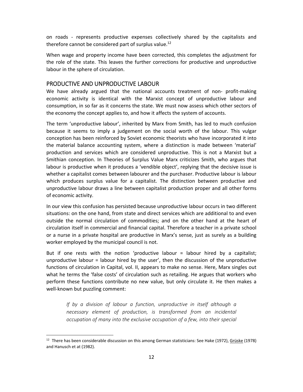on roads - represents productive expenses collectively shared by the capitalists and therefore cannot be considered part of surplus value.<sup>12</sup>

When wage and property income have been corrected, this completes the adjustment for the role of the state. This leaves the further corrections for productive and unproductive labour in the sphere of circulation.

### PRODUCTIVE AND UNPRODUCTIVE LABOUR

We have already argued that the national accounts treatment of non- profit-making economic activity is identical with the Marxist concept of unproductive labour and consumption, in so far as it concerns the state. We must now assess which other sectors of the economy the concept applies to, and how it affects the system of accounts.

The term 'unproductive labour', inherited by Marx from Smith, has led to much confusion because it seems to imply a judgement on the social worth of the labour. This vulgar conception has been reinforced by Soviet economic theorists who have incorporated it into the material balance accounting system, where a distinction is made between 'material' production and services which are considered unproductive. This is not a Marxist but a Smithian conception. In Theories of Surplus Value Marx criticizes Smith, who argues that labour is productive when it produces a 'vendible object', replying that the decisive issue is whether a capitalist comes between labourer and the purchaser. Productive labour is labour which produces surplus value for a capitalist. The distinction between productive and unproductive labour draws a line between capitalist production proper and all other forms of economic activity.

In our view this confusion has persisted because unproductive labour occurs in two different situations: on the one hand, from state and direct services which are additional to and even outside the normal circulation of commodities; and on the other hand at the heart of circulation itself in commercial and financial capital. Therefore a teacher in a private school or a nurse in a private hospital are productive in Marx's sense, just as surely as a building worker employed by the municipal council is not.

But if one rests with the notion 'productive labour = labour hired by a capitalist; unproductive labour = labour hired by the user', then the discussion of the unproductive functions of circulation in Capital, vol. II, appears to make no sense. Here, Marx singles out what he terms the 'false costs' of circulation such as retailing. He argues that workers who perform these functions contribute no new value, but only circulate it. He then makes a well-known but puzzling comment:

*If by a division of labour a function, unproductive in itself although a necessary element of production, is transformed from an incidental occupation of many into the exclusive occupation of a few, into their special* 

<sup>&</sup>lt;sup>12</sup> There has been considerable discussion on this among German statisticians: See Hake (1972), Grüske (1978) and Hanusch et at (1982).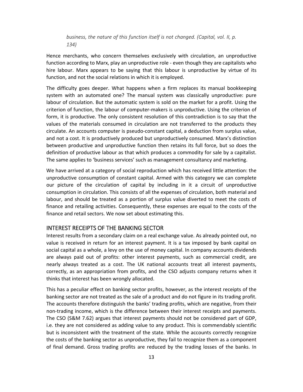*business, the nature of this function itself is not changed. (Capital, vol. II, p. 134)* 

Hence merchants, who concern themselves exclusively with circulation, an unproductive function according to Marx, play an unproductive role ‐ even though they are capitalists who hire labour. Marx appears to be saying that this labour is unproductive by virtue of its function, and not the social relations in which it is employed.

The difficulty goes deeper. What happens when a firm replaces its manual bookkeeping system with an automated one? The manual system was classically unproductive: pure labour of circulation. But the automatic system is sold on the market for a profit. Using the criterion of function, the labour of computer‐makers is unproductive. Using the criterion of form, it is productive. The only consistent resolution of this contradiction is to say that the values of the materials consumed in circulation are not transferred to the products they circulate. An accounts computer is pseudo‐constant capital, a deduction from surplus value, and not a cost. It is productively produced but unproductively consumed. Marx's distinction between productive and unproductive function then retains its full force, but so does the definition of productive labour as that which produces a commodity for sale by a capitalist. The same applies to 'business services' such as management consultancy and marketing.

We have arrived at a category of social reproduction which has received little attention: the unproductive consumption of constant capital. Armed with this category we can complete our picture of the circulation of capital by including in it a circuit of unproductive consumption in circulation. This consists of all the expenses of circulation, both material and labour, and should be treated as a portion of surplus value diverted to meet the costs of finance and retailing activities. Consequently, these expenses are equal to the costs of the finance and retail sectors. We now set about estimating this.

#### INTEREST RECEIPTS OF THE BANKING SECTOR

Interest results from a secondary claim on a real exchange value. As already pointed out, no value is received in return for an interest payment. It is a tax imposed by bank capital on social capital as a whole, a levy on the use of money capital. In company accounts dividends are always paid out of profits: other interest payments, such as commercial credit, are nearly always treated as a cost. The UK national accounts treat all interest payments, correctly, as an appropriation from profits, and the CSO adjusts company returns when it thinks that interest has been wrongly allocated.

This has a peculiar effect on banking sector profits, however, as the interest receipts of the banking sector are not treated as the sale of a product and do not figure in its trading profit. The accounts therefore distinguish the banks' trading profits, which are negative, from their non-trading income, which is the difference between their interest receipts and payments. The CSO (S&M 7.62) argues that interest payments should not be considered part of GDP, i.e. they are not considered as adding value to any product. This is commendably scientific but is inconsistent with the treatment of the state. While the accounts correctly recognize the costs of the banking sector as unproductive, they fail to recognize them as a component of final demand. Gross trading profits are reduced by the trading losses of the banks. In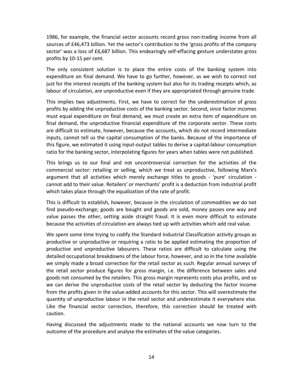1986, for example, the financial sector accounts record gross non-trading income from all sources of £46,473 billion. Yet the sector's contribution to the 'gross profits of the company sector' was a loss of £6,687 billion. This endearingly self-effacing gesture understates gross profits by 10‐15 per cent.

The only consistent solution is to place the entire costs of the banking system into expenditure on final demand. We have to go further, however, as we wish to correct not just for the interest receipts of the banking system but also for its trading receipts which, as labour of circulation, are unproductive even if they are appropriated through genuine trade.

This implies two adjustments. First, we have to correct for the underestimation of gross profits by adding the unproductive costs of the banking sector. Second, since factor incomes must equal expenditure on final demand, we must create an extra item of expenditure on final demand, the unproductive financial expenditure of the corporate sector. These costs are difficult to estimate, however, because the accounts, which do not record intermediate inputs, cannot tell us the capital consumption of the banks. Because of the importance of this figure, we estimated it using input-output tables to derive a capital-labour consumption ratio for the banking sector, interpolating figures for years when tables were not published.

This brings us to our final and not uncontroversial correction for the activities of the commercial sector: retailing or selling, which we treat as unproductive, following Marx's argument that all activities which merely exchange titles to goods - 'pure' circulation cannot add to their value. Retailers' or merchants' profit is a deduction from industrial profit which takes place through the equalization of the rate of profit.

This is difficult to establish, however, because in the circulation of commodities we do not find pseudo‐exchange; goods are bought and goods are sold, money passes one way and value passes the other, setting aside straight fraud. It is even more difficult to estimate because the activities of circulation are always tied up with activities which add real value.

We spent some time trying to codify the Standard Industrial Classification activity groups as productive or unproductive or requiring a ratio to be applied estimating the proportion of productive and unproductive labourers. These ratios are difficult to calculate using the detailed occupational breakdowns of the labour force, however, and so in the time available we simply made a broad correction for the retail sector as such. Regular annual surveys of the retail sector produce figures for gross margin, i.e. the difference between sales and goods not consumed by the retailers. This gross margin represents costs plus profits, and so we can derive the unproductive costs of the retail sector by deducting the factor income from the profits given in the value‐added accounts for this sector. This will overestimate the quantity of unproductive labour in the retail sector and underestimate it everywhere else. Like the financial sector correction, therefore, this correction should be treated with caution.

Having discussed the adjustments made to the national accounts we now turn to the outcome of the procedure and analyse the estimates of the value categories.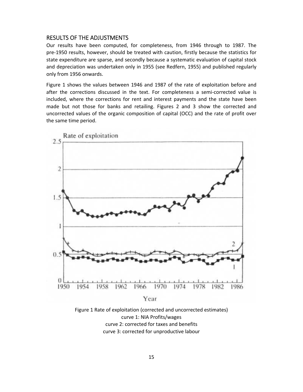#### RESULTS OF THE ADJUSTMENTS

Our results have been computed, for completeness, from 1946 through to 1987. The pre‐1950 results, however, should be treated with caution, firstly because the statistics for state expenditure are sparse, and secondly because a systematic evaluation of capital stock and depreciation was undertaken only in 1955 (see Redfern, 1955) and published regularly only from 1956 onwards.

Figure 1 shows the values between 1946 and 1987 of the rate of exploitation before and after the corrections discussed in the text. For completeness a semi-corrected value is included, where the corrections for rent and interest payments and the state have been made but not those for banks and retailing. Figures 2 and 3 show the corrected and uncorrected values of the organic composition of capital (OCC) and the rate of profit over the same time period.



Year

Figure 1 Rate of exploitation (corrected and uncorrected estimates) curve 1: NIA Profits/wages curve 2: corrected for taxes and benefits curve 3: corrected for unproductive labour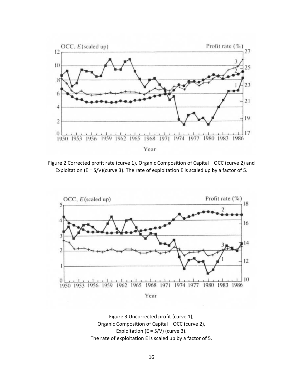

Figure 2 Corrected profit rate (curve 1), Organic Composition of Capital—OCC (curve 2) and Exploitation (E = S/V)(curve 3). The rate of exploitation E is scaled up by a factor of 5.



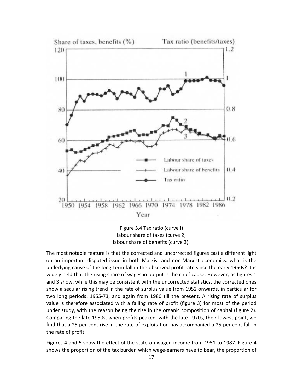

Figure 5.4 Tax ratio (curve I) labour share of taxes (curve 2) labour share of benefits (curve 3).

The most notable feature is that the corrected and uncorrected figures cast a different light on an important disputed issue in both Marxist and non‐Marxist economics: what is the underlying cause of the long‐term fall in the observed profit rate since the early 1960s? It is widely held that the rising share of wages in output is the chief cause. However, as figures 1 and 3 show, while this may be consistent with the uncorrected statistics, the corrected ones show a secular rising trend in the rate of surplus value from 1952 onwards, in particular for two long periods: 1955‐73, and again from 1980 till the present. A rising rate of surplus value is therefore associated with a falling rate of profit (figure 3) for most of the period under study, with the reason being the rise in the organic composition of capital (figure 2). Comparing the late 1950s, when profits peaked, with the late 1970s, their lowest point, we find that a 25 per cent rise in the rate of exploitation has accompanied a 25 per cent fall in the rate of profit.

Figures 4 and 5 show the effect of the state on waged income from 1951 to 1987. Figure 4 shows the proportion of the tax burden which wage-earners have to bear, the proportion of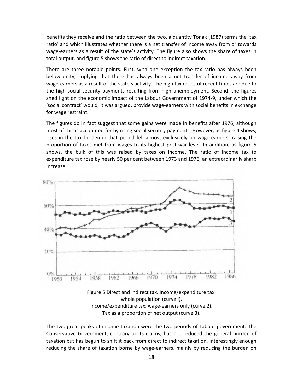benefits they receive and the ratio between the two, a quantity Tonak (1987) terms the 'tax ratio' and which illustrates whether there is a net transfer of income away from or towards wage-earners as a result of the state's activity. The figure also shows the share of taxes in total output, and figure 5 shows the ratio of direct to indirect taxation.

There are three notable points. First, with one exception the tax ratio has always been below unity, implying that there has always been a net transfer of income away from wage-earners as a result of the state's activity. The high tax ratios of recent times are due to the high social security payments resulting from high unemployment. Second, the figures shed light on the economic impact of the Labour Government of 1974‐9, under which the 'social contract' would, it was argued, provide wage‐earners with social benefits in exchange for wage restraint.

The figures do in fact suggest that some gains were made in benefits after 1976, although most of this is accounted for by rising social security payments. However, as figure 4 shows, rises in the tax burden in that period fell almost exclusively on wage-earners, raising the proportion of taxes met from wages to its highest post‐war level. In addition, as figure 5 shows, the bulk of this was raised by taxes on income. The ratio of income tax to expenditure tax rose by nearly 50 per cent between 1973 and 1976, an extraordinarily sharp increase.



Figure 5 Direct and indirect tax. Income/expenditure tax. whole population (curve I). Income/expenditure tax, wage‐earners only (curve 2). Tax as a proportion of net output (curve 3).

The two great peaks of income taxation were the two periods of Labour government. The Conservative Government, contrary to its claims, has not reduced the general burden of taxation but has begun to shift it back from direct to indirect taxation, interestingly enough reducing the share of taxation borne by wage-earners, mainly by reducing the burden on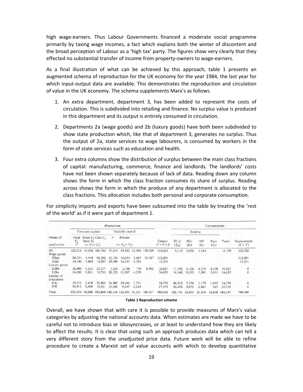high wage-earners. Thus Labour Governments financed a moderate social programme primarily by taxing wage incomes, a fact which explains both the winter of discontent and the broad perception of Labour as a 'high tax' party. The figures show very clearly that they effected no substantial transfer of income from property‐owners to wage‐earners.

As a final illustration of what can be achieved by this approach, table 1 presents an augmented schema of reproduction for the UK economy for the year 1984, the last year for which input-output data are available. This demonstrates the reproduction and circulation of value in the UK economy. The schema supplements Marx's as follows.

- 1. An extra department, department 3, has been added to represent the costs of circulation. This is subdivided into retailing and finance. No surplus value is produced in this department and its output is entirely consumed in circulation.
- 2. Departments 2a (wage goods) and 2b (luxury goods) have both been subdivided to show state production which, like that of department 3, generates no surplus. Thus the output of 2a, state services to wage labourers, is consumed by workers in the form of state services such as education and health.
- 3. Four extra columns show the distribution of surplus between the main class fractions of capital: manufacturing, commerce, finance and landlords. The landlords' costs have not been shown separately because of lack of data. Reading down any column shows the form in which the class fraction consumes its share of surplus. Reading across shows the form in which the produce of any department is allocated to the class fractions. This allocation includes both personal and corporate consumption.

For simplicity imports and exports have been subsumed into the table by treating the 'rest of the world' as if it were part of department 1.

| Means of<br>production        | Production           |                               |                                               |                  |                             |               |         |                       | Consumption     |                |                |                 |         |                                               |
|-------------------------------|----------------------|-------------------------------|-----------------------------------------------|------------------|-----------------------------|---------------|---------|-----------------------|-----------------|----------------|----------------|-----------------|---------|-----------------------------------------------|
|                               | Constant capital     |                               |                                               | Variable capital |                             |               |         |                       | Surplus         |                |                |                 |         |                                               |
|                               | Total<br>$V_{\sf p}$ | State $Ve$<br>$(= C_f + C_c)$ | Fixed $C_f$ Circ $C_e$ .                      | V                | Private<br>$(=V_{0}+V_{s})$ |               |         | Output<br>$C + V + S$ | DI.2<br>$(S_m)$ | D3c<br>$(S_n)$ | D3f<br>$(S_r)$ | Rent<br>$(S_r)$ | Total   | Replacement<br>$(C + V)$                      |
| D1                            |                      |                               | 423,218 19,458 403,760                        | 75,819           |                             | 59,923 15,896 | 139,629 | 638,665               | 9,119           | 2,036          | 5,184          |                 | 16,339  | 622,326                                       |
| Wage goods                    |                      |                               |                                               |                  |                             |               |         |                       |                 |                |                |                 |         |                                               |
| D2ap                          | 96,744               | 4,448                         | 92,296                                        | 12,721           | 10,054                      | 2,667         | 23,427  | 132,891               |                 |                |                |                 |         | 132,891                                       |
| D <sub>2</sub> a <sub>s</sub> | 14,766               | 3.869                         | 10.897                                        | 20.486           | 16.191                      | 4.395         |         | 35,251                |                 |                |                |                 |         | 35,251                                        |
| Luxury goods                  |                      |                               |                                               |                  |                             |               |         |                       |                 |                |                |                 |         |                                               |
| D <sub>2</sub> b <sub>p</sub> | 26,809               | 1,233                         | 25,577                                        | 3.525            | 2.786                       | 739           | 6.492   | 36,827                | 17.192          | 9,106          | 6,370          | 4.158           | 36,827  |                                               |
| D2bs                          | 14,506               | 3,801                         | 10,705                                        | 20,126           | 15,907                      | 4,219         |         | 34,633                | 16,168          | 8,563          | 5,991          | 3,911           | 34,633  | $\begin{matrix} 0 \\ 0 \end{matrix}$          |
| Labour of<br>circulation      |                      |                               |                                               |                  |                             |               |         |                       |                 |                |                |                 |         |                                               |
| D <sub>3c</sub>               | 29.371               | 2,478                         | 26.893                                        | 24,905           | 19.684                      | 5.221         |         | 54,276                | 40.010          | 7.256          | 5,178          | 1,832           | 54,276  |                                               |
| D3f                           | 16,911               | 3,400                         | 13,511                                        | 10,561           | 8,347                       | 2,214         |         | 27,472                | 20,252          | 3.673          | 2,621          | 927             | 27,472  | $\begin{smallmatrix}0\\0\\0\end{smallmatrix}$ |
| Total                         |                      |                               | 622,326 38,686 583,640 168,143 132,891 35,251 |                  |                             |               | 69.547  | 960,016               | 102,741         | 30,633         | 25,344         | 10,828          | 169,547 | 790,469                                       |

#### **Table 1 Reproduction scheme**

Overall, we have shown that with care it is possible to provide measures of Marx's value categories by adjusting the national accounts data. When estimates are made we have to be careful not to introduce bias or idiosyncrasies, or at least to understand how they are likely to affect the results. It is clear that using such an approach produces data which can tell a very different story from the unadjusted price data. Future work will be able to refine procedure to create a Marxist set of value accounts with which to develop quantitative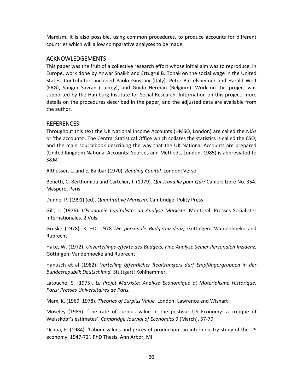Marxism. It is also possible, using common procedures, to produce accounts for different countries which will allow comparative analyses to be made.

#### ACKNOWLEDGEMENTS

This paper was the fruit of a collective research effort whose initial aim was to reproduce, in Europe, work done by Anwar Shaikh and Ertugrul B. Tonak on the social wage in the United States. Contributors included Paolo Giussani (Italy), Peter Bartelsheimer and Harald Wolf (FRG), Sungur Savran (Turkey), and Guido Herman (Belgium). Work on this project was supported by the Hamburg Institute for Social Research. Information on this project, more details on the procedures described in the paper, and the adjusted data are available from the author.

#### REFERENCES

Throughout this text the UK National Income Accounts (HMSO, London) are called the NIAs or 'the accounts'. The Central Statistical Office which collates the statistics is called the CSO; and the main sourcebook describing the way that the UK National Accounts are prepared (United Kingdom National Accounts: Sources and Methods, London, 1985) is abbreviated to S&M.

Althusser. L. and E. Balibar (1970). *Reading Capital.* London: Verso

Benetti, C. Berthomieu and Cartelier, J. (1979). *Qui Travaille pour Qui?* Cahiers Libre No. 354. Maspero, Paris

Dunne, P. (1991) (ed). *Quantitative Marxism.* Cambridge: Polity Press

Gill, L. (1976). *L'Economie Capitaliste: un Analyse Marxiste.* Montreal: Presses Socialistes Internationales. 2 Vols.

Grüske (1978). K. –D. 1978 *Die personale Budgetinzidenz,* Göttingen: Vandenhoeke and Ruprecht

Hake, W. (1972). *Unverteilings effekte des Budgets, Fine Analyse Seiner Personalen Inzidenz.* Göttingen: Vandenhoeke and Ruprecht

Hanusch et al (1982). *Verteiling öffentlicher Realtransfers durf Empfängergruppen in der Bundesrepublik Deutschland.* Stuttgart: Kohlhammer.

Latouche, S, (1975). *Le Projet Marxiste: Analyse Economique et Materialisme Historique. Paris: Presses Universitaires de Paris.*

Marx, K. (1969, 1978). *Theories of Surplus Value.* London: Lawrence and Wishart

Moseley (1985). 'The rate of surplus value in the postwar US Economy: a critique of Weisskopf's estimates'. *Cambridge Journal of Economics* 9 (March). 57‐79.

Ochoa, E. (1984). 'Labour values and prices of production: an interindustry study of the US economy, 1947‐72'. PhD Thesis, Ann Arbor, MI